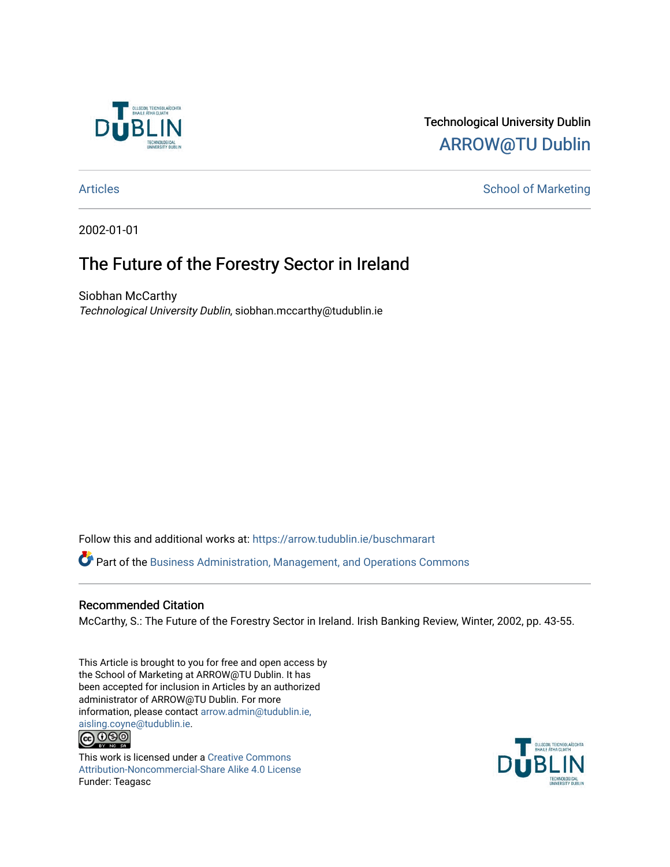

# Technological University Dublin [ARROW@TU Dublin](https://arrow.tudublin.ie/)

# [Articles](https://arrow.tudublin.ie/buschmarart) **School of Marketing**

2002-01-01

# The Future of the Forestry Sector in Ireland

Siobhan McCarthy Technological University Dublin, siobhan.mccarthy@tudublin.ie

Follow this and additional works at: [https://arrow.tudublin.ie/buschmarart](https://arrow.tudublin.ie/buschmarart?utm_source=arrow.tudublin.ie%2Fbuschmarart%2F50&utm_medium=PDF&utm_campaign=PDFCoverPages) 

 $\bullet$  Part of the [Business Administration, Management, and Operations Commons](http://network.bepress.com/hgg/discipline/623?utm_source=arrow.tudublin.ie%2Fbuschmarart%2F50&utm_medium=PDF&utm_campaign=PDFCoverPages)

## Recommended Citation

McCarthy, S.: The Future of the Forestry Sector in Ireland. Irish Banking Review, Winter, 2002, pp. 43-55.

This Article is brought to you for free and open access by the School of Marketing at ARROW@TU Dublin. It has been accepted for inclusion in Articles by an authorized administrator of ARROW@TU Dublin. For more information, please contact [arrow.admin@tudublin.ie,](mailto:arrow.admin@tudublin.ie,%20aisling.coyne@tudublin.ie)  [aisling.coyne@tudublin.ie.](mailto:arrow.admin@tudublin.ie,%20aisling.coyne@tudublin.ie)



This work is licensed under a [Creative Commons](http://creativecommons.org/licenses/by-nc-sa/4.0/) [Attribution-Noncommercial-Share Alike 4.0 License](http://creativecommons.org/licenses/by-nc-sa/4.0/) Funder: Teagasc

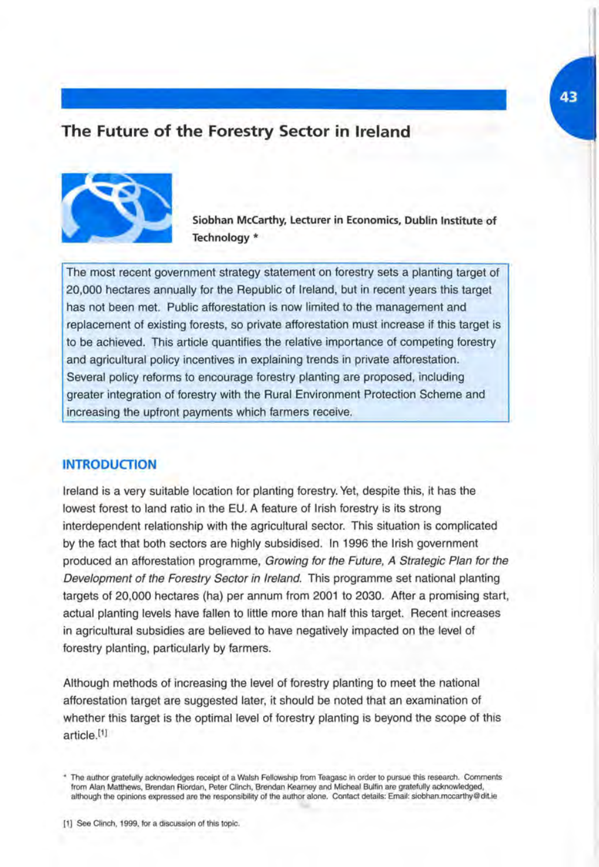### **The Future of the Forestry Sector in Ireland**



**Siobhan McCarthy, Lecturer in Economics, Dublin Institute of Technology \*** 

The most recent government strategy statement on forestry sets a planting target of 20,000 hectares annually for the Republic of Ireland, but in recent years this target has not been met. Public afforestation is now limited to the management and replacement of existing forests, so private afforestation must increase if this target is to be achieved. This article quantifies the relative importance of competing forestry and agricultural policy incentives in explaining trends in private afforestation. Several policy reforms to encourage forestry planting are proposed, including greater integration of forestry with the Rural Environment Protection Scheme and increasing the upfront payments which farmers receive.

#### **INTRODUCTION**

Ireland is a very suitable location for planting forestry. Yet, despite this, it has the lowest forest to land ratio in the EU. A feature of Irish forestry is its strong interdependent relationship with the agricultural sector. This situation is complicated by the fact that both sectors are highly subsidised. In 1996 the Irish government produced an afforestation programme, Growing for the Future, A Strategic Plan for the Development of the Forestry Sector in Ireland. This programme set national planting targets of 20,000 hectares (ha) per annum from 2001 to 2030. After a promising start, actual planting levels have fallen to little more than half this target. Recent increases in agricultural subsidies are believed to have negatively impacted on the level of forestry planting, particularly by farmers.

Although methods of increasing the level of forestry planting to meet the national afforestation target are suggested later, it should be noted that an examination of whether this target is the optimal level of forestry planting is beyond the scope of this article.[1]

[1] See Clinch, 1999, for a discussion of this topic.

<sup>\*</sup> The author gratefully acknowledges receipt of a Walsh Fellowship from Teagasc in order to pursue this research. Comments from Alan Matthews, Brendan Riordan, Peter Clinch, Brendan Kearney and Micheal Bulfin are gratefully acknowledged, although the opinions expressed are the responsibility of the author alone. Contact details: Email: siobhan.mccarthy@ditie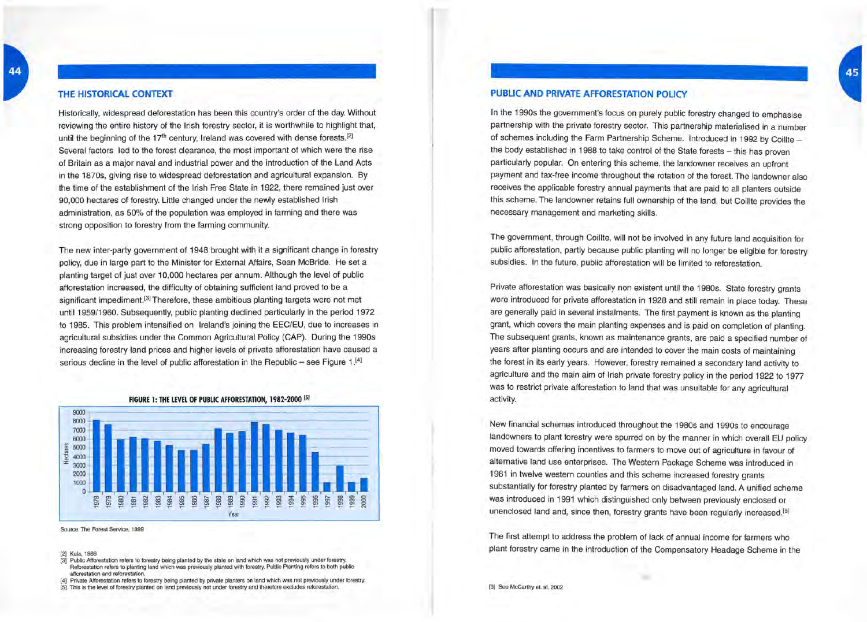#### **THE HISTORICAL CONTEXT**

Historically, widespread deforestation has been this country's order of the day. Without reviewing the entire history of the Irish forestry sector, it is worthwhile to highlight that, until the beginning of the  $17<sup>th</sup>$  century, Ireland was covered with dense forests.<sup>[2]</sup> Several factors led to the forest clearance, the most important of which were the rise of Britain as a major naval and industrial power and the introduction of the Land Acts in the 1870s, giving rise to widespread deforestation and agricultural expansion. By the time of the establishment of the Irish Free State in 1922, there remained just over 90,000 hectares of forestry. Little changed under the newly established Irish administration, as 50% of the population was employed in farming and there was strong opposition to forestry from the farming community.

The new inter-party government of 1948 brought with it a significant change in forestry policy, due in large part to the Minister for External Affairs, Sean McBride. He set a planting target of just over 10,000 hectares per annum. Although the level of public afforestation increased, the difficulty of obtaining sufficient land proved to be a significant impediment.<sup>[3]</sup> Therefore, these ambitious planting targets were not met until 1959/1960. Subsequently, public planting declined particularly in the period 1972 to 1985. This problem intensified on I reland's joining the EEC/EU, due to increases in agricultural subsidies under the Common Agricultural Policy (CAP). During the 1990s increasing forestry land prices and higher levels of private afforestation have caused a serious decline in the level of public afforestation in the Republic - see Figure 1.<sup>[4]</sup>



Source: The Forest Service, 1999

[2] Kula, 1988

- [3] Public Afforestation refers to forestry being planted by the state on land which was not previously under forestry. Reforestation refers to planting land which was previously planted with forestry. Public Planting refers to both public afforestation and reforestation.
- [4] Private Afforestation refers to forestry being planted by private planters on land which was not previously under forestry.
- [5] This is the level of forestry planted on land previously not under forestry and therefore excludes reforestation.

### **PUBLIC AND PRIVATE AFFORESTATION POLICY**

In the 1990s the government's focus on purely public forestry changed to emphasise partnership with the private forestry sector. This partnership materialised in a number of schemes including the Farm Partnership Scheme. Introduced in 1992 by Coillte the body established in 1988 to take control of the State forests - this has proven particularly popular. On entering this scheme, the landowner receives an upfront payment and tax-free income throughout the rotation of the forest. The landowner also receives the applicable forestry annual payments that are paid to all planters outside this scheme. The landowner retains full ownership of the land, but Coillte provides the necessary management and marketing skills.

The government, through Coillte, will not be involved in any future land acquisition for public afforestation, partly because public planting will no longer be eligible for forestry subsidies. In the future, public afforestation will be limited to reforestation.

Private afforestation was basically non existent until the 1980s. State forestry grants were introduced for private afforestation in 1928 and still remain in place today. These are generally paid in several instalments. The first payment is known as the planting grant, which covers the main planting expenses and is paid on completion of planting. The subsequent grants, known as maintenance grants, are paid a specified number of years after planting occurs and are intended to cover the main costs of maintaining the forest in its early years. However, forestry remained a secondary land activity to agriculture and the main aim of Irish private forestry policy in the period 1922 to 1977 was to restrict private afforestation to land that was unsuitable for any agricultural activity.

New financial schemes introduced throughout the 1980s and 1990s to encourage landowners to plant forestry were spurred on by the manner in which overall EU policy moved towards offering incentives to farmers to move out of agriculture in favour of alternative land use enterprises. The Western Package Scheme was introduced in 1981 in twelve western counties and this scheme increased forestry grants substantially for forestry planted by farmers on disadvantaged land. A unified scheme was introduced in 1991 which distinguished only between previously enclosed or unenclosed land and, since then, forestry grants have been regularly increased.<sup>[6]</sup>

The first attempt to address the problem of lack of annual income for farmers who plant forestry came in the introduction of the Compensatory Headage Scheme in the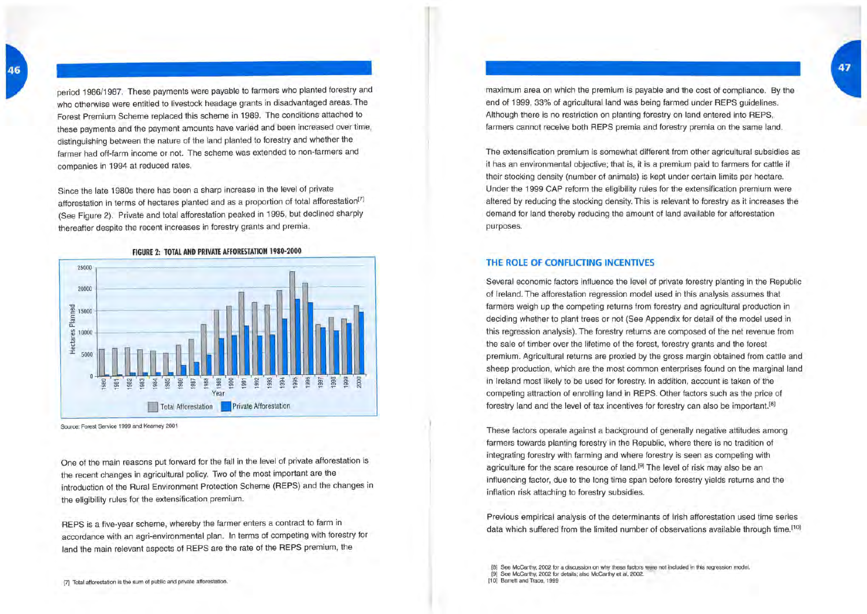period 1986/1987. These payments were payable to farmers who planted forestry and who otherwise were entitled to livestock headage grants in disadvantaged areas. The Forest Premium Scheme replaced this scheme in 1989. The conditions attached to these payments and the payment amounts have varied and been increased over time, distinguishing between the nature of the land planted to forestry and whether the farmer had off-farm income or not. The scheme was extended to non-farmers and companies in 1994 at reduced rates.

Since the late 1980s there has been a sharp increase in the level of private afforestation in terms of hectares planted and as a proportion of total afforestation<sup>[7]</sup> (See Figure 2). Private and total afforestation peaked in 1995, but declined sharply thereafter despite the recent increases in forestry grants and premia.



Source: Forest Service 1999 and Kearney 2001

One of the main reasons put forward for the fall in the level of private afforestation is the recent changes in agricultural policy. Two of the most important are the introduction of the Rural Environment Protection Scheme (REPS) and the changes in the eligibility rules for the extensification premium.

REPS is a five-year scheme, whereby the farmer enters a contract to farm in accordance with an agri-environmental plan. In terms of competing with forestry for land the main relevant aspects of REPS are the rate of the REPS premium, the

maximum area on which the premium is payable and the cost of compliance. By the end of 1999, 33% of agricultural land was being farmed under REPS guidelines. Although there is no restriction on planting forestry on land entered into REPS, farmers cannot receive both REPS premia and forestry premia on the same land.

The extensification premium is somewhat different from other agricultural subsidies as it has an environmental objective; that is, it is a premium paid to farmers for cattle if their stocking density (number of animals) is kept under certain limits per hectare. Under the 1999 CAP reform the eligibility rules for the extensification premium were altered by reducing the stocking density. This is relevant to forestry as it increases the demand for land thereby reducing the amount of land available for afforestation purposes.

#### **THE ROLE OF CONFLICTING INCENTIVES**

Several economic factors influence the level of private forestry planting in the Republic of Ireland. The afforestation regression model used in this analysis assumes that farmers weigh up the competing returns from forestry and agricultural production in deciding whether to plant trees or not (See Appendix for detail of the model used in this regression analysis). The forestry returns are composed of the net revenue from the sale of timber over the lifetime of the forest, forestry grants and the forest premium. Agricultural returns are proxied by the gross margin obtained from cattle and sheep production, which are the most common enterprises found on the marginal land in Ireland most likely to be used for forestry. In addition, account is taken of the competing attraction of enrolling land in REPS. Other factors such as the price of forestry land and the level of tax incentives for forestry can also be important.[8]

These factors operate against a background of generally negative attitudes among farmers towards planting forestry in the Republic, where there is no tradition of integrating forestry with farming and where forestry is seen as competing with agriculture for the scare resource of land.<sup>[9]</sup> The level of risk may also be an influencing factor, due to the long time span before forestry yields returns and the inflation risk attaching to forestry subsidies.

Previous empirical analysis of the determinants of Irish afforestation used time series data which suffered from the limited number of observations available through time.<sup>[10]</sup>

- [8] See McCarthy, 2002 for a discussion on why these factors were not included in this regression model. [9] See McCarthy, 2002 for details; also McCarthy et ai, 2002.
- [10] Barrett and Trace, 1999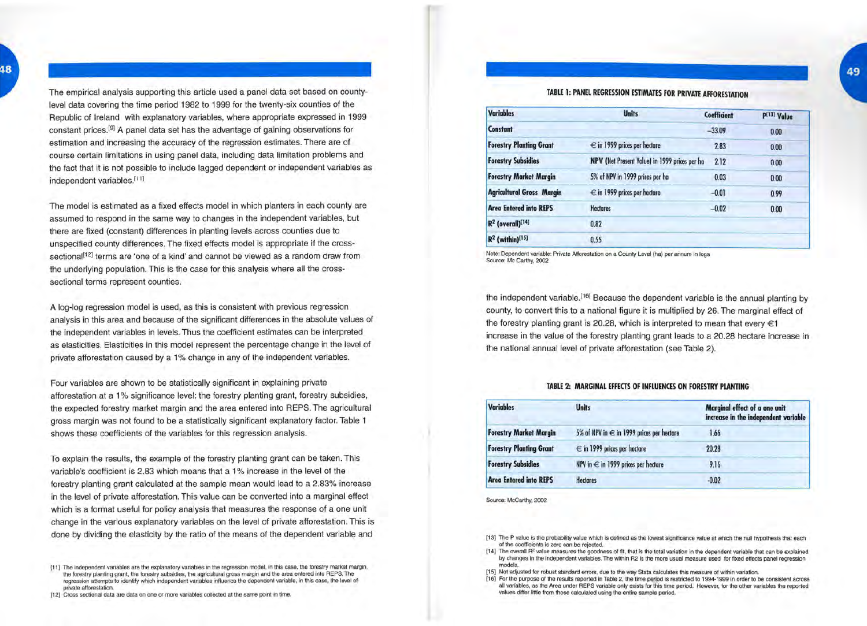The empirical analysis supporting this article used a panel data set based on countylevel data covering the time period 1982 to 1999 for the twenty-six counties of the Republic of Ireland with explanatory variables, where appropriate expressed in 1999 constant prices.<sup>[9]</sup> A panel data set has the advantage of gaining observations for estimation and increasing the accuracy of the regression estimates. There are of course certain limitations in using panel data, including data limitation problems and the fact that it is not possible to include lagged dependent or independent variables as independent variables.<sup>[11]</sup>

The model is estimated as a fixed effects model in which planters in each county are assumed to respond in the same way to changes in the independent variables, but there are fixed (constant) differences in planting levels across counties due to unspecified county differences. The fixed effects model is appropriate if the crosssectional<sup>[12]</sup> terms are 'one of a kind' and cannot be viewed as a random draw from the underlying population. This is the case for this analysis where all the crosssectional terms represent counties.

A log-log regression model is used, as this is consistent with previous regression analysis in this area and because of the significant differences in the absolute values of the independent variables in levels. Thus the coefficient estimates can be interpreted as elasticities. Elasticities in this model represent the percentage change in the level of private afforestation caused by a 1% change in any of the independent variables.

Four variables are shown to be statistically significant in explaining private afforestation at a 1 % significance level: the forestry planting grant, forestry subsidies, the expected forestry market margin and the area entered into REPS. The agricultural gross margin was not found to be a statistically significant explanatory factor. Table 1 shows these coefficients of the variables for this regression analysis.

To explain the results, the example of the forestry planting grant can be taken. This variable's coefficient is 2.83 which means that a 1 % increase in the level of the forestry planting grant calculated at the sample mean would lead to a 2.83% increase in the level of private afforestation. This value can be converted into a marginal effect which is a format useful for policy analysis that measures the response of a one unit change in the various explanatory variables on the level of private afforestation. This is done by dividing the elasticity by the ratio of the means of the dependent variable and

### TABLE 1: PANEL REGRESSION ESTIMATES FOR PRIVATE AFFORESTATION

| <b>Variables</b>                 | <b>Units</b>                                  | Coefficient | P[13] Value |  |
|----------------------------------|-----------------------------------------------|-------------|-------------|--|
| <b>Constant</b>                  |                                               | $-33.09$    | 0.00        |  |
| <b>Forestry Planting Grant</b>   | $\epsilon$ in 1999 prices per hectore         | 2.83        | 0.00        |  |
| <b>Forestry Subsidies</b>        | NPV (Net Present Value) in 1999 prices per ha | 2.12        | 0.00        |  |
| <b>Forestry Market Margin</b>    | 5% of NPV in 1999 prices per ha               | 0.03        | 0.00        |  |
| <b>Agricultural Gross Margin</b> | $\epsilon$ in 1999 prices per hectare         | $-0.01$     | 0.99        |  |
| <b>Area Entered into REPS</b>    | <b>Hectores</b>                               | $-0.02$     | 0.00        |  |
| $R^2$ (overall) <sup>[14]</sup>  | 0.82                                          |             |             |  |
| $R^2$ (within) <sup>[15]</sup>   | 0.55                                          |             |             |  |

Note: Dependent variable: Private Afforestation on a County Level (ha) per annum in logs Source: Me Carthy, 2002

the independent variable.<sup>[16]</sup> Because the dependent variable is the annual planting by county, to convert this to a national figure it is multiplied by 26. The marginal effect of the forestry planting grant is 20.28, which is interpreted to mean that every  $\epsilon$ 1 increase in the value of the forestry planting grant leads to a 20.28 hectare increase in the national annual level of private afforestation (see Table 2).

#### TABLE 2: MARGINAL EFFECTS OF INFLUENCES ON FORESTRY PLANTING

| <b>Variables</b>               | <b>Units</b>                                  | Marginal effect of a one unit<br>increase in the independent variable |  |
|--------------------------------|-----------------------------------------------|-----------------------------------------------------------------------|--|
| <b>Forestry Market Margin</b>  | 5% of NPV in $\in$ in 1999 prices per hectore | 1.66                                                                  |  |
| <b>Forestry Planting Grant</b> | $\epsilon$ in 1999 prices per hectore         | 20.28                                                                 |  |
| <b>Forestry Subsidies</b>      | NPV in $\epsilon$ in 1999 prices per hectore  | 9.16                                                                  |  |
| <b>Area Entered into REPS</b>  | <b>Hectores</b>                               | $-0.02$                                                               |  |

Source: McCarthy, 2002

[13] The P value is the probability value which is defined as the lowest significance value at which the null hypothesis that each of the coefficients is zero can be rejected.

[14] The overall R<sup>2</sup> value measures the goodness of fit, that is the total variation in the dependent variable that can be explained<br>by changes in the independent variables. The within R2 is the more usual measure used fo

[16] For the purpose of the results reported in Table 2, the time period is restricted to 1994-1999 in order to be consistent across all variables, as the Area under FIEPS variable only exists for this time period. However

<sup>[11]</sup> The independent variables are the explanatory variables in the regression model, in this case, the forestry market margin, the forestry planting grant, the forestry subsidies, the agricultural gross margin and the are regression attempts to identify which independent variables influence the dependent variable, in this case, the level of private afforestation.

<sup>[12]</sup> Cross sectional data are data on one or more variables collected at the same point in time.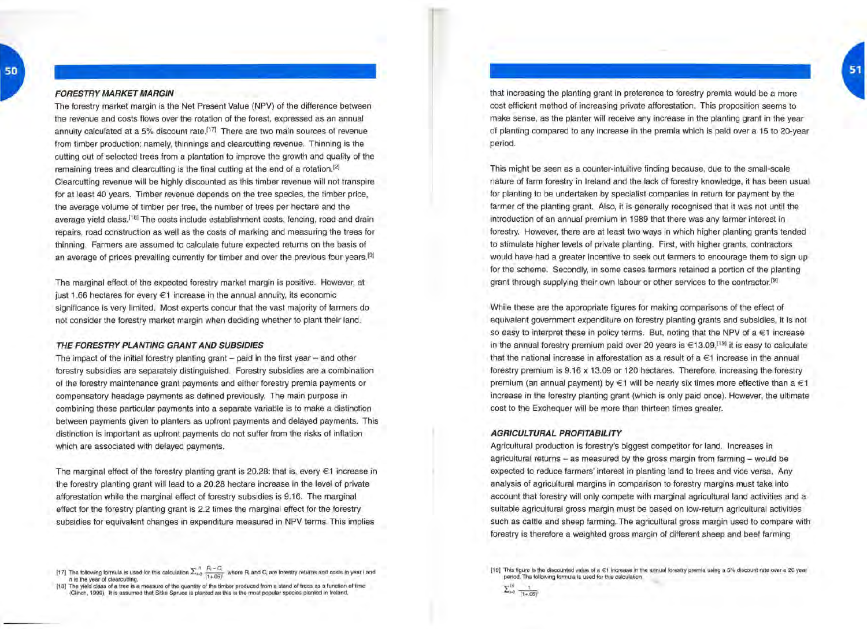that increasing the planting grant in preference to forestry premia would be a more cost efficient method of increasing private afforestation. This proposition seems to make sense, as the planter will receive any increase in the planting grant in the year of planting compared to any increase in the premia which is paid over a 15 to 20-year period.

This might be seen as a counter-intuitive finding because, due to the small-scale nature of farm forestry in Ireland and the lack of forestry knowledge, it has been usual for planting to be undertaken by specialist companies in return for payment by the farmer of the planting grant. Also, it is generally recognised that it was not until the introduction of an annual premium in 1989 that there was any farmer interest in forestry. However, there are at least two ways in which higher planting grants tended to stimulate higher levels of private planting. First, with higher grants, contractors would have had a greater incentive to seek out farmers to encourage them to sign up for the scheme. Secondly, in some cases farmers retained a portion of the planting grant through supplying their own labour or other services to the contractor.<sup>[9]</sup>

While these are the appropriate figures for making comparisons of the effect of equivalent government expenditure on forestry planting grants and subsidies, it is not so easy to interpret these in policy terms. But, noting that the NPV of a €1 increase in the annual forestry premium paid over 20 years is  $\in 13.09$ ,<sup>[19]</sup> it is easy to calculate that the national increase in afforestation as a result of a €1 increase in the annual forestry premium is 9.16 x 13.09 or 120 hectares. Therefore, increasing the forestry premium (an annual payment) by  $\in$ 1 will be nearly six times more effective than a  $\in$ 1 increase in the forestry planting grant (which is only paid once). However, the ultimate cost to the Exchequer will be more than thirteen times greater.

#### **AGRICULTURAL PROFITABILITY**

Agricultural production is forestry's biggest competitor for land. Increases in agricultural returns - as measured by the gross margin from farming - would be expected to reduce farmers' interest in planting land to trees and vice versa. Any analysis of agricultural margins in comparison to forestry margins must take into account that forestry will only compete with marginal agricultural land activities and a suitable agricultural gross margin must be based on low-return agricultural activities such as cattle and sheep farming. The agricultural gross margin used to compare with forestry is therefore a weighted gross margin of different sheep and beef farming

[19] This figure is the discounted value of a €1 increase in the annual forestry premia using a 5% discount rate over a 20 year period. The following formula is used for this calculation

 $\sum_{b=0}^{19} \frac{1}{(1+.05)}$ 

50

#### **FORESTRY MARKET MARGIN**

The forestry market margin is the Net Present Value (NPV) of the difference between the revenue and costs flows over the rotation of the forest, expressed as an annual annuity calculated at a 5% discount rate.<sup> $[17]$ </sup> There are two main sources of revenue from timber production: namely, thinnings and clearcutting revenue. Thinning is the cutting out of selected trees from a plantation to improve the growth and quality of the remaining trees and clearcutting is the final cutting at the end of a rotation.<sup>[2]</sup> Clearcutting revenue will be highly discounted as this timber revenue will not transpire for at least 40 years. Timber revenue depends on the tree species, the timber price, the average volume of timber per tree, the number of trees per hectare and the average yield class.<sup>[18]</sup> The costs include establishment costs, fencing, road and drain repairs, road construction as well as the costs of marking and measuring the trees for thinning. Farmers are assumed to calculate future expected returns on the basis of an average of prices prevailing currently for timber and over the previous four years.<sup>[9]</sup>

The marginal effect of the expected forestry market margin is positive. However, at just 1.66 hectares for every  $\in$ 1 increase in the annual annuity, its economic significance is very limited. Most experts concur that the vast majority of farmers do not consider the forestry market margin when deciding whether to plant their land.

#### **THE FORESTRY PLANTING GRANT AND SUBSIDIES**

The impact of the initial forestry planting grant  $-$  paid in the first year  $-$  and other forestry subsidies are separately distinguished. Forestry subsidies are a combination of the forestry maintenance grant payments and either forestry premia payments or compensatory headage payments as defined previously. The main purpose in combining these particular payments into a separate variable is to make a distinction between payments given to planters as upfront payments and delayed payments. This distinction is important as upfront payments do not suffer from the risks of inflation which are associated with delayed payments.

The marginal effect of the forestry planting grant is 20.28: that is, every €1 increase in the forestry planting grant will lead to a 20.28 hectare increase in the level of private afforestation while the marginal effect of forestry subsidies is 9.16. The marginal effect for the forestry planting grant is 2.2 times the marginal effect for the forestry subsidies for equivalent changes in expenditure measured in NPV terms. This implies

<sup>[17]</sup> The following formula is used for this calculation  $\sum_{k=0}^{n} \frac{R_i - C_i}{(1 + .05)^i}$  where R<sub>i</sub> and C<sub>i</sub> are forestry returns and costs in year i and n is the year of clearcutting.

<sup>[18]</sup> The yield class of a tree is a measure of the quantity of the timber produced from a stand of trees as a function of time (Clinch, 1999). It is assumed that Sitka Spruce is planted as this is the most popular species planted in Ireland.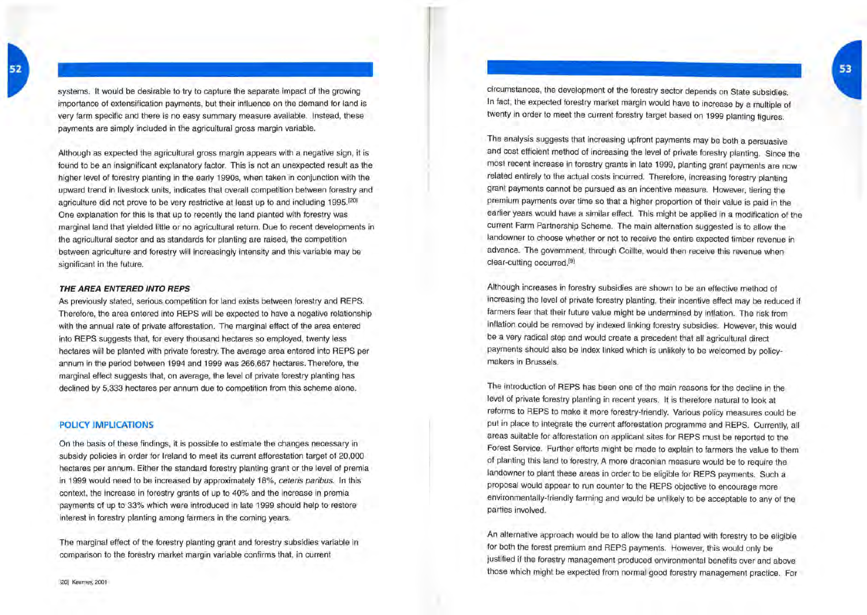systems. It would be desirable to try to capture the separate impact of the growing importance of extensification payments, but their influence on the demand for land is very farm specific and there is no easy summary measure available. Instead, these payments are simply included in the agricultural gross margin variable.

Although as expected the agricultural gross margin appears with a negative sign, it is found to be an insignificant explanatory factor. This is not an unexpected result as the higher level of forestry planting in the early 1990s, when taken in conjunction with the upward trend in livestock units, indicates that overall competition between forestry and agriculture did not prove to be very restrictive at least up to and including 1995.<sup>[20]</sup> One explanation for this is that up to recently the land planted with forestry was marginal land that yielded little or no agricultural return. Due to recent developments in the agricultural sector and as standards for planting are raised, the competition between agriculture and forestry will increasingly intensity and this variable may be significant in the future.

#### **THE AREA ENTERED INTO REPS**

As previously stated, serious competition for land exists between forestry and REPS. Therefore, the area entered into REPS will be expected to have a negative relationship with the annual rate of private afforestation. The marginal effect of the area entered into REPS suggests that, for every thousand hectares so employed, twenty less hectares will be planted with private forestry. The average area entered into REPS per annum in the period between 1994 and 1999 was 266,667 hectares. Therefore, the marginal effect suggests that, on average, the level of private forestry planting has declined by 5,333 hectares per annum due to competition from this scheme alone.

#### **POLICY IMPLICATIONS**

On the basis of these findings, it is possible to estimate the changes necessary in subsidy policies in order for Ireland to meet its current afforestation target of 20,000 hectares per annum. Either the standard forestry planting grant or the level of premia in 1999 would need to be increased by approximately 18%, ceteris paribus. In this context, the increase in forestry grants of up to 40% and the increase in premia payments of up to 33% which were introduced in late 1999 should help to restore interest in forestry planting among farmers in the coming years.

The marginal effect of the forestry planting grant and forestry subsidies variable in comparison to the forestry market margin variable confirms that, in current

circumstances, the development of the forestry sector depends on State subsidies. In fact, the expected forestry market margin would have to increase by a multiple of twenty in order to meet the current forestry target based on 1999 planting figures.

The analysis suggests that increasing upfront payments may be both a persuasive and cost efficient method of increasing the level of private forestry planting. Since the most recent increase in forestry grants in late 1999, planting grant payments are now related entirely to the actual costs incurred. Therefore, increasing forestry planting grant payments cannot be pursued as an incentive measure. However, tiering the premium payments over time so that a higher proportion of their value is paid in the earlier years would have a similar effect. This might be applied in a modification of the current Farm Partnership Scheme. The main alternation suggested is to allow the landowner to choose whether or not to receive the entire expected timber revenue in advance. The government, through Coillte, would then receive this revenue when clear-cutting occurred.<sup>[9]</sup>

Although increases in forestry subsidies are shown to be an effective method of increasing the level of private forestry planting, their incentive effect may be reduced if farmers fear that their future value might be undermined by inflation. The risk from inflation could be removed by indexed linking forestry subsidies. However, this would be a very radical step and would create a precedent that all agricultural direct payments should also be index linked which is unlikely to be welcomed by policymakers in Brussels.

The introduction of REPS has been one of the main reasons for the decline in the level of private forestry planting in recent years. It is therefore natural to look at reforms to REPS to make it more forestry-friendly. Various policy measures could be put in place to integrate the current afforestation programme and REPS. Currently, all areas suitable for afforestation on applicant sites for REPS must be reported to the Forest Service. Further efforts might be made to explain to farmers the value to them of planting this land to forestry. A more draconian measure would be to require the landowner to plant these areas in order to be eligible for REPS payments. Such a proposal would appear to run counter to the REPS objective to encourage more environmentally-friendly farming and would be unlikely to be acceptable to any of the parties involved.

An alternative approach would be to allow the land planted with forestry to be eligible for both the forest premium and REPS payments. However, this would only be justified if the forestry management produced environmental benefits over and above those which might be expected from normal good forestry management practice. For 53